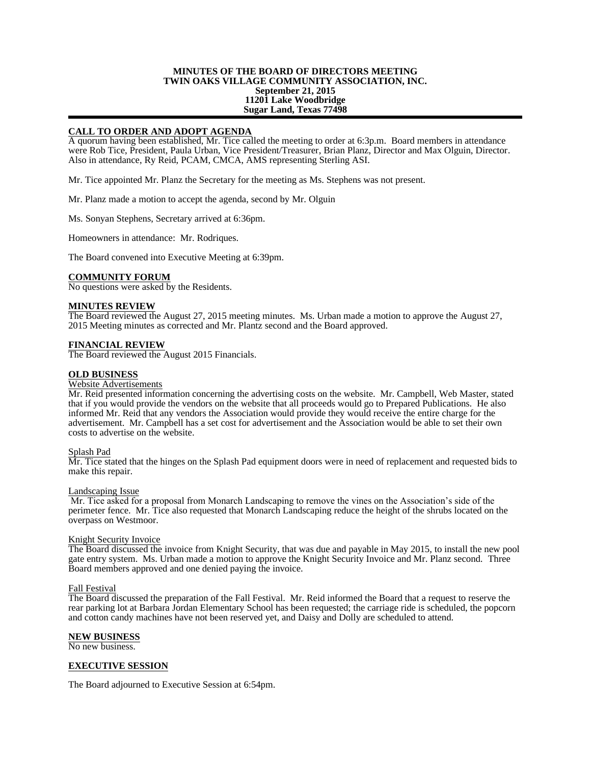## **MINUTES OF THE BOARD OF DIRECTORS MEETING TWIN OAKS VILLAGE COMMUNITY ASSOCIATION, INC. September 21, 2015 11201 Lake Woodbridge Sugar Land, Texas 77498**

# **CALL TO ORDER AND ADOPT AGENDA**

A quorum having been established, Mr. Tice called the meeting to order at 6:3p.m. Board members in attendance were Rob Tice, President, Paula Urban, Vice President/Treasurer, Brian Planz, Director and Max Olguin, Director. Also in attendance, Ry Reid, PCAM, CMCA, AMS representing Sterling ASI.

Mr. Tice appointed Mr. Planz the Secretary for the meeting as Ms. Stephens was not present.

Mr. Planz made a motion to accept the agenda, second by Mr. Olguin

Ms. Sonyan Stephens, Secretary arrived at 6:36pm.

Homeowners in attendance: Mr. Rodriques.

The Board convened into Executive Meeting at 6:39pm.

## **COMMUNITY FORUM**

No questions were asked by the Residents.

#### **MINUTES REVIEW**

The Board reviewed the August 27, 2015 meeting minutes. Ms. Urban made a motion to approve the August 27, 2015 Meeting minutes as corrected and Mr. Plantz second and the Board approved.

## **FINANCIAL REVIEW**

The Board reviewed the August 2015 Financials.

## **OLD BUSINESS**

#### Website Advertisements

Mr. Reid presented information concerning the advertising costs on the website. Mr. Campbell, Web Master, stated that if you would provide the vendors on the website that all proceeds would go to Prepared Publications. He also informed Mr. Reid that any vendors the Association would provide they would receive the entire charge for the advertisement. Mr. Campbell has a set cost for advertisement and the Association would be able to set their own costs to advertise on the website.

#### Splash Pad

Mr. Tice stated that the hinges on the Splash Pad equipment doors were in need of replacement and requested bids to make this repair.

#### Landscaping Issue

Mr. Tice asked for a proposal from Monarch Landscaping to remove the vines on the Association's side of the perimeter fence. Mr. Tice also requested that Monarch Landscaping reduce the height of the shrubs located on the overpass on Westmoor.

#### Knight Security Invoice

The Board discussed the invoice from Knight Security, that was due and payable in May 2015, to install the new pool gate entry system. Ms. Urban made a motion to approve the Knight Security Invoice and Mr. Planz second. Three Board members approved and one denied paying the invoice.

# Fall Festival

The Board discussed the preparation of the Fall Festival. Mr. Reid informed the Board that a request to reserve the rear parking lot at Barbara Jordan Elementary School has been requested; the carriage ride is scheduled, the popcorn and cotton candy machines have not been reserved yet, and Daisy and Dolly are scheduled to attend.

# **NEW BUSINESS**

No new business.

# **EXECUTIVE SESSION**

The Board adjourned to Executive Session at 6:54pm.